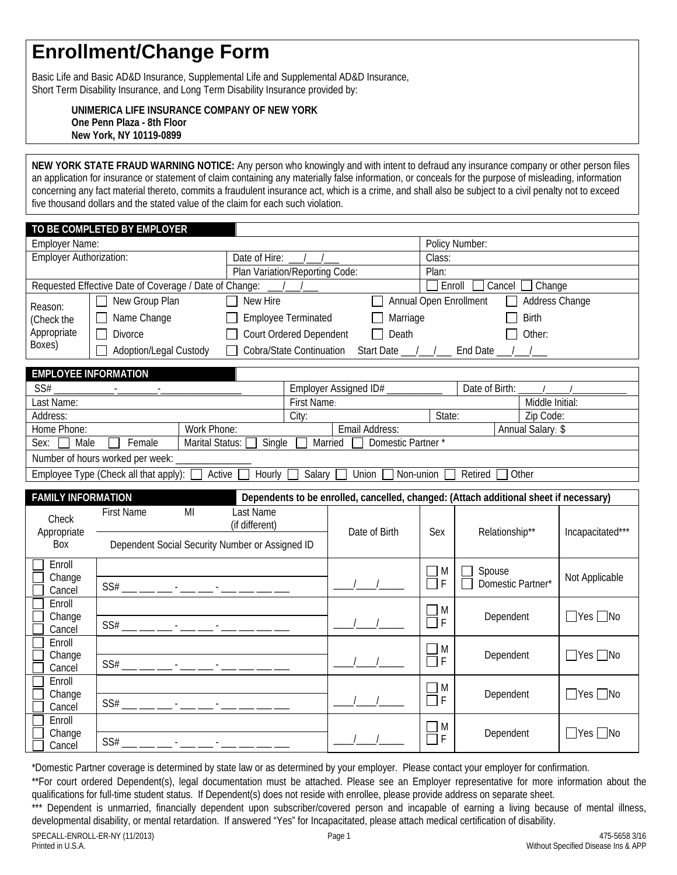## **Enrollment/Change Form**

Basic Life and Basic AD&D Insurance, Supplemental Life and Supplemental AD&D Insurance, Short Term Disability Insurance, and Long Term Disability Insurance provided by:

## **UNIMERICA LIFE INSURANCE COMPANY OF NEW YORK One Penn Plaza - 8th Floor New York, NY 10119-0899**

**NEW YORK STATE FRAUD WARNING NOTICE:** Any person who knowingly and with intent to defraud any insurance company or other person files an application for insurance or statement of claim containing any materially false information, or conceals for the purpose of misleading, information concerning any fact material thereto, commits a fraudulent insurance act, which is a crime, and shall also be subject to a civil penalty not to exceed five thousand dollars and the stated value of the claim for each such violation.

|                                                                                                                                     | TO BE COMPLETED BY EMPLOYER                               |                                                      |                                       |                                            |                                                                                       |                      |  |
|-------------------------------------------------------------------------------------------------------------------------------------|-----------------------------------------------------------|------------------------------------------------------|---------------------------------------|--------------------------------------------|---------------------------------------------------------------------------------------|----------------------|--|
| <b>Employer Name:</b>                                                                                                               |                                                           |                                                      |                                       | Policy Number:                             |                                                                                       |                      |  |
| <b>Employer Authorization:</b>                                                                                                      |                                                           | Date of Hire:                                        |                                       | Class:                                     |                                                                                       |                      |  |
| Plan Variation/Reporting Code:                                                                                                      |                                                           |                                                      |                                       | Plan:                                      |                                                                                       |                      |  |
| Requested Effective Date of Coverage / Date of Change:                                                                              |                                                           |                                                      |                                       | $\Box$ Enroll<br>Cancel [<br>$\Box$ Change |                                                                                       |                      |  |
| Reason:                                                                                                                             | New Group Plan                                            | New Hire<br>Annual Open Enrollment<br>Address Change |                                       |                                            |                                                                                       |                      |  |
| (Check the                                                                                                                          | Name Change                                               | <b>Employee Terminated</b>                           | Marriage<br><b>Birth</b>              |                                            |                                                                                       |                      |  |
| Appropriate                                                                                                                         | <b>Divorce</b>                                            | <b>Court Ordered Dependent</b>                       | Death                                 |                                            |                                                                                       |                      |  |
| Boxes)                                                                                                                              | Adoption/Legal Custody                                    | Cobra/State Continuation                             | Other:<br>Start Date 11 / Find Date 1 |                                            |                                                                                       |                      |  |
|                                                                                                                                     |                                                           |                                                      |                                       |                                            |                                                                                       |                      |  |
|                                                                                                                                     | <b>EMPLOYEE INFORMATION</b>                               |                                                      |                                       |                                            |                                                                                       |                      |  |
| SS#<br>First Name:                                                                                                                  |                                                           |                                                      | Employer Assigned ID# ___________     | Date of Birth:                             |                                                                                       |                      |  |
| Last Name:                                                                                                                          |                                                           | Middle Initial:                                      |                                       |                                            |                                                                                       |                      |  |
| Address:<br>Home Phone:                                                                                                             | Email Address:                                            | State:<br>Zip Code:                                  |                                       |                                            |                                                                                       |                      |  |
| Work Phone:<br>Annual Salary: \$<br>Domestic Partner*<br>Marital Status: [<br>Married  <br>Male<br>Female<br>Single<br>Sex:         |                                                           |                                                      |                                       |                                            |                                                                                       |                      |  |
|                                                                                                                                     | Number of hours worked per week: __                       |                                                      |                                       |                                            |                                                                                       |                      |  |
| Employee Type (Check all that apply): $\square$<br>Active<br>Hourly  <br>Salary $\square$<br>Union<br>Non-union<br>Retired<br>Other |                                                           |                                                      |                                       |                                            |                                                                                       |                      |  |
|                                                                                                                                     |                                                           |                                                      |                                       |                                            |                                                                                       |                      |  |
|                                                                                                                                     |                                                           |                                                      |                                       |                                            |                                                                                       |                      |  |
| <b>FAMILY INFORMATION</b>                                                                                                           |                                                           |                                                      |                                       |                                            | Dependents to be enrolled, cancelled, changed: (Attach additional sheet if necessary) |                      |  |
|                                                                                                                                     | <b>First Name</b><br>$\overline{M}$                       | <b>Last Name</b>                                     |                                       |                                            |                                                                                       |                      |  |
| Check<br>Appropriate                                                                                                                |                                                           | (if different)                                       | Date of Birth                         | Sex                                        | Relationship**                                                                        | Incapacitated***     |  |
| Box                                                                                                                                 | Dependent Social Security Number or Assigned ID           |                                                      |                                       |                                            |                                                                                       |                      |  |
| Enroll                                                                                                                              |                                                           |                                                      |                                       |                                            |                                                                                       |                      |  |
| Change                                                                                                                              |                                                           |                                                      |                                       | $\Box$ M                                   | Spouse                                                                                | Not Applicable       |  |
| Cancel                                                                                                                              |                                                           |                                                      |                                       | Ħг                                         | Domestic Partner*                                                                     |                      |  |
| Enroll                                                                                                                              |                                                           |                                                      |                                       |                                            |                                                                                       |                      |  |
| Change                                                                                                                              |                                                           |                                                      |                                       | $\Box$ M<br>ПF                             | Dependent                                                                             | $\Box$ Yes $\Box$ No |  |
| Cancel                                                                                                                              |                                                           |                                                      |                                       |                                            |                                                                                       |                      |  |
| Enroll<br>Change                                                                                                                    |                                                           |                                                      |                                       | M                                          | Dependent                                                                             | $\Box$ Yes $\Box$ No |  |
| Cancel                                                                                                                              | $SS#$ ___ ___ ___ - ___ - ___ - ___ - ___ ___ ___ ___ ___ |                                                      |                                       | $\Box$ M<br>$\Box$ F                       |                                                                                       |                      |  |
| Enroll                                                                                                                              |                                                           |                                                      |                                       |                                            |                                                                                       |                      |  |
| Change                                                                                                                              |                                                           |                                                      |                                       | $\Box$ M<br>$\Box$ F                       | Dependent                                                                             | $\Box$ Yes $\Box$ No |  |
| Cancel                                                                                                                              |                                                           |                                                      |                                       |                                            |                                                                                       |                      |  |
| Enroll<br>Change                                                                                                                    |                                                           |                                                      |                                       | M<br>F                                     | Dependent                                                                             | $\Box$ Yes<br>– INo  |  |

\*Domestic Partner coverage is determined by state law or as determined by your employer. Please contact your employer for confirmation.

\*\*For court ordered Dependent(s), legal documentation must be attached. Please see an Employer representative for more information about the qualifications for full-time student status. If Dependent(s) does not reside with enrollee, please provide address on separate sheet.

\*\*\* Dependent is unmarried, financially dependent upon subscriber/covered person and incapable of earning a living because of mental illness, developmental disability, or mental retardation. If answered "Yes" for Incapacitated, please attach medical certification of disability.